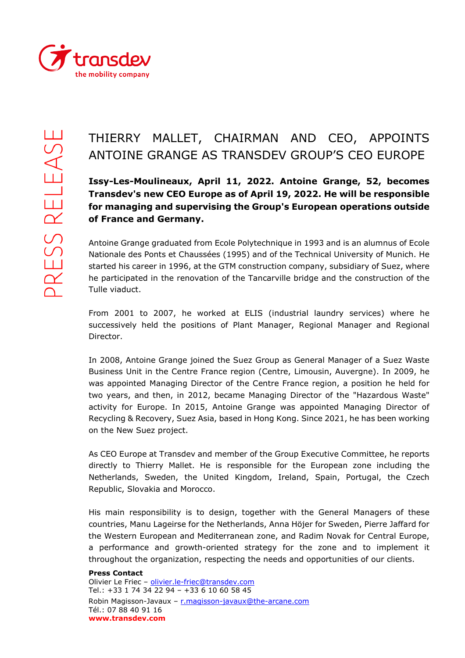

## THIERRY MALLET, CHAIRMAN AND CEO, APPOINTS ANTOINE GRANGE AS TRANSDEV GROUP'S CEO EUROPE

**Issy-Les-Moulineaux, April 11, 2022. Antoine Grange, 52, becomes Transdev's new CEO Europe as of April 19, 2022. He will be responsible for managing and supervising the Group's European operations outside of France and Germany.**

Antoine Grange graduated from Ecole Polytechnique in 1993 and is an alumnus of Ecole Nationale des Ponts et Chaussées (1995) and of the Technical University of Munich. He started his career in 1996, at the GTM construction company, subsidiary of Suez, where he participated in the renovation of the Tancarville bridge and the construction of the Tulle viaduct.

From 2001 to 2007, he worked at ELIS (industrial laundry services) where he successively held the positions of Plant Manager, Regional Manager and Regional Director.

In 2008, Antoine Grange joined the Suez Group as General Manager of a Suez Waste Business Unit in the Centre France region (Centre, Limousin, Auvergne). In 2009, he was appointed Managing Director of the Centre France region, a position he held for two years, and then, in 2012, became Managing Director of the "Hazardous Waste" activity for Europe. In 2015, Antoine Grange was appointed Managing Director of Recycling & Recovery, Suez Asia, based in Hong Kong. Since 2021, he has been working on the New Suez project.

As CEO Europe at Transdev and member of the Group Executive Committee, he reports directly to Thierry Mallet. He is responsible for the European zone including the Netherlands, Sweden, the United Kingdom, Ireland, Spain, Portugal, the Czech Republic, Slovakia and Morocco.

His main responsibility is to design, together with the General Managers of these countries, Manu Lageirse for the Netherlands, Anna Höjer for Sweden, Pierre Jaffard for the Western European and Mediterranean zone, and Radim Novak for Central Europe, a performance and growth-oriented strategy for the zone and to implement it throughout the organization, respecting the needs and opportunities of our clients.

## **Press Contact**

Olivier Le Friec - [olivier.le-friec@transdev.com](mailto:olivier.le-friec@transdev.com) Tel.: +33 1 74 34 22 94 – +33 6 10 60 58 45 Robin Magisson-Javaux - [r.magisson-javaux@the-arcane.com](mailto:r.magisson-javaux@the-arcane.com) Tél.: 07 88 40 91 16 **www.transdev.com**